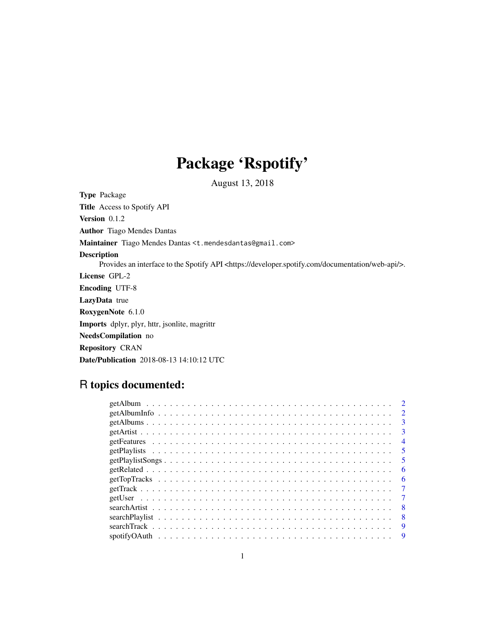# Package 'Rspotify'

August 13, 2018

Type Package Title Access to Spotify API Version 0.1.2 Author Tiago Mendes Dantas Maintainer Tiago Mendes Dantas <t.mendesdantas@gmail.com> Description Provides an interface to the Spotify API <https://developer.spotify.com/documentation/web-api/>. License GPL-2 Encoding UTF-8 LazyData true RoxygenNote 6.1.0 Imports dplyr, plyr, httr, jsonlite, magrittr NeedsCompilation no Repository CRAN Date/Publication 2018-08-13 14:10:12 UTC

## R topics documented:

|                                                                                                                          | $\mathcal{D}_{\mathcal{L}}$ |
|--------------------------------------------------------------------------------------------------------------------------|-----------------------------|
|                                                                                                                          | 3                           |
|                                                                                                                          | $\mathbf{3}$                |
|                                                                                                                          | $\overline{4}$              |
|                                                                                                                          | $\overline{\mathbf{5}}$     |
|                                                                                                                          | 5                           |
| $getRelated \dots \dots \dots \dots \dots \dots \dots \dots \dots \dots \dots \dots \dots \dots \dots \dots \dots \dots$ | 6                           |
|                                                                                                                          | 6                           |
|                                                                                                                          |                             |
|                                                                                                                          |                             |
|                                                                                                                          |                             |
|                                                                                                                          | 8                           |
|                                                                                                                          | -9                          |
|                                                                                                                          | 9                           |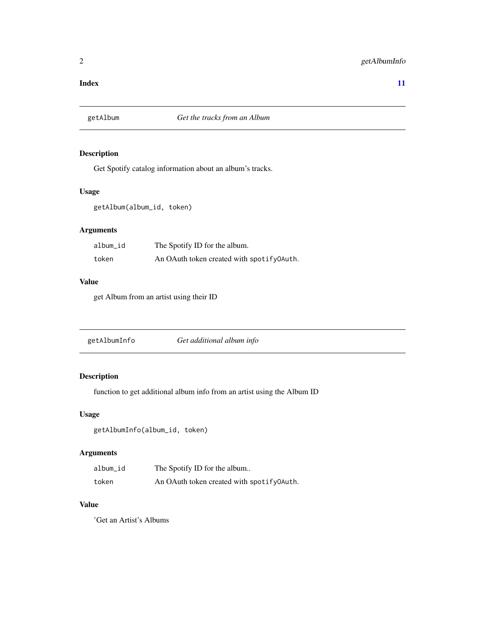#### <span id="page-1-0"></span>**Index** [11](#page-10-0)

#### Description

Get Spotify catalog information about an album's tracks.

#### Usage

getAlbum(album\_id, token)

#### Arguments

| album id | The Spotify ID for the album.             |
|----------|-------------------------------------------|
| token    | An OAuth token created with spotify0Auth. |

#### Value

get Album from an artist using their ID

| getAlbumInfo | Get additional album info |  |
|--------------|---------------------------|--|
|--------------|---------------------------|--|

#### Description

function to get additional album info from an artist using the Album ID

#### Usage

getAlbumInfo(album\_id, token)

#### Arguments

| album id | The Spotify ID for the album              |
|----------|-------------------------------------------|
| token    | An OAuth token created with spotify0Auth. |

#### Value

'Get an Artist's Albums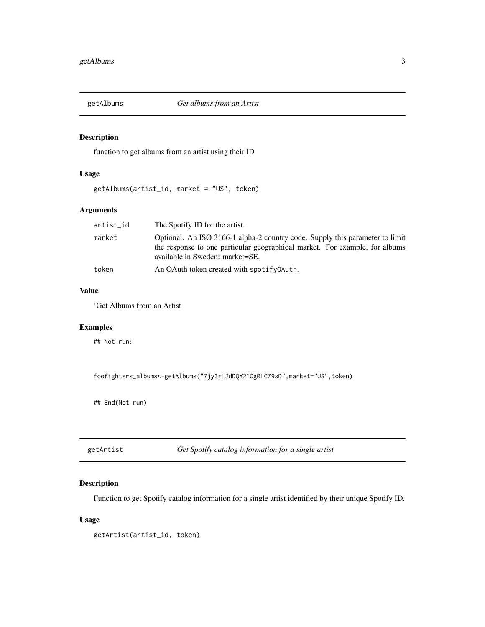<span id="page-2-0"></span>

function to get albums from an artist using their ID

#### Usage

getAlbums(artist\_id, market = "US", token)

#### Arguments

| artist_id | The Spotify ID for the artist.                                                                                                                                                                 |
|-----------|------------------------------------------------------------------------------------------------------------------------------------------------------------------------------------------------|
| market    | Optional. An ISO 3166-1 alpha-2 country code. Supply this parameter to limit<br>the response to one particular geographical market. For example, for albums<br>available in Sweden: market=SE. |
| token     | An OAuth token created with spotify0Auth.                                                                                                                                                      |

#### Value

'Get Albums from an Artist

#### Examples

## Not run:

foofighters\_albums<-getAlbums("7jy3rLJdDQY21OgRLCZ9sD",market="US",token)

## End(Not run)

getArtist *Get Spotify catalog information for a single artist*

#### Description

Function to get Spotify catalog information for a single artist identified by their unique Spotify ID.

#### Usage

getArtist(artist\_id, token)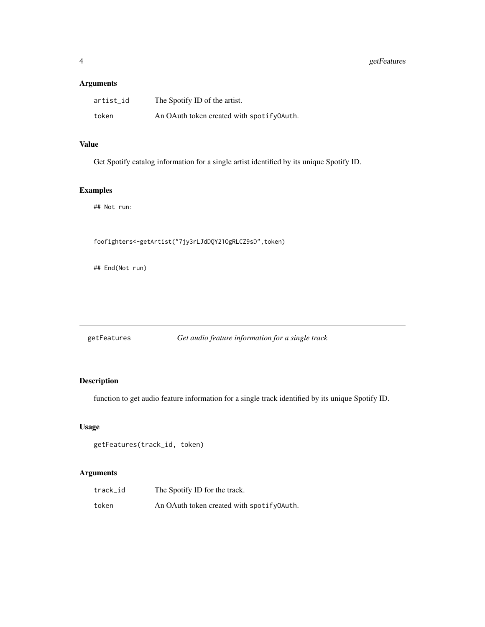#### <span id="page-3-0"></span>4 getFeatures

#### Arguments

| artist id | The Spotify ID of the artist.             |
|-----------|-------------------------------------------|
| token     | An OAuth token created with spotify0Auth. |

#### Value

Get Spotify catalog information for a single artist identified by its unique Spotify ID.

#### Examples

## Not run:

foofighters<-getArtist("7jy3rLJdDQY21OgRLCZ9sD",token)

## End(Not run)

getFeatures *Get audio feature information for a single track*

#### Description

function to get audio feature information for a single track identified by its unique Spotify ID.

#### Usage

```
getFeatures(track_id, token)
```

| track id | The Spotify ID for the track.             |
|----------|-------------------------------------------|
| token    | An OAuth token created with spotify0Auth. |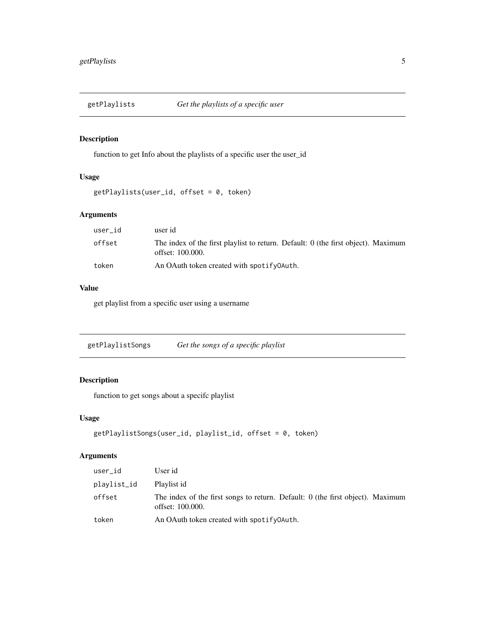<span id="page-4-0"></span>

function to get Info about the playlists of a specific user the user\_id

#### Usage

```
getPlaylists(user_id, offset = 0, token)
```
#### Arguments

| user id | user id                                                                                               |
|---------|-------------------------------------------------------------------------------------------------------|
| offset  | The index of the first playlist to return. Default: 0 (the first object). Maximum<br>offset: 100.000. |
| token   | An OAuth token created with spotify0Auth.                                                             |

#### Value

get playlist from a specific user using a username

getPlaylistSongs *Get the songs of a specific playlist*

#### Description

function to get songs about a specifc playlist

#### Usage

```
getPlaylistSongs(user_id, playlist_id, offset = 0, token)
```

| user_id     | User id                                                                                            |
|-------------|----------------------------------------------------------------------------------------------------|
| plavlist_id | Playlist id                                                                                        |
| offset      | The index of the first songs to return. Default: 0 (the first object). Maximum<br>offset: 100.000. |
| token       | An OAuth token created with spotify0Auth.                                                          |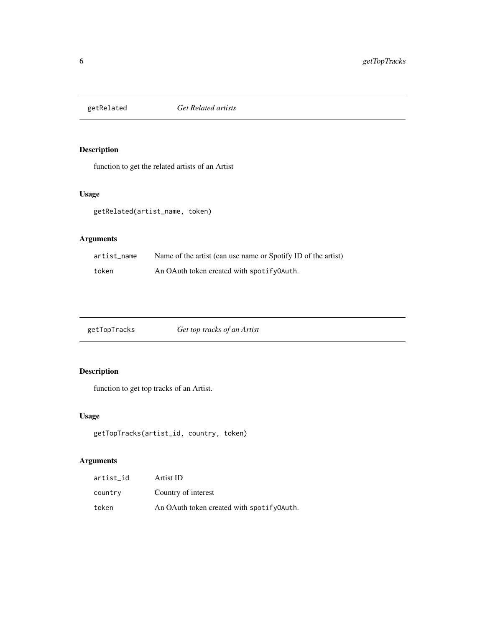<span id="page-5-0"></span>

function to get the related artists of an Artist

#### Usage

getRelated(artist\_name, token)

### Arguments

| artist name | Name of the artist (can use name or Spotify ID of the artist) |
|-------------|---------------------------------------------------------------|
| token       | An OAuth token created with spotify OAuth.                    |

#### Description

function to get top tracks of an Artist.

#### Usage

```
getTopTracks(artist_id, country, token)
```

| artist id | Artist ID                                  |
|-----------|--------------------------------------------|
| country   | Country of interest                        |
| token     | An OAuth token created with spotify OAuth. |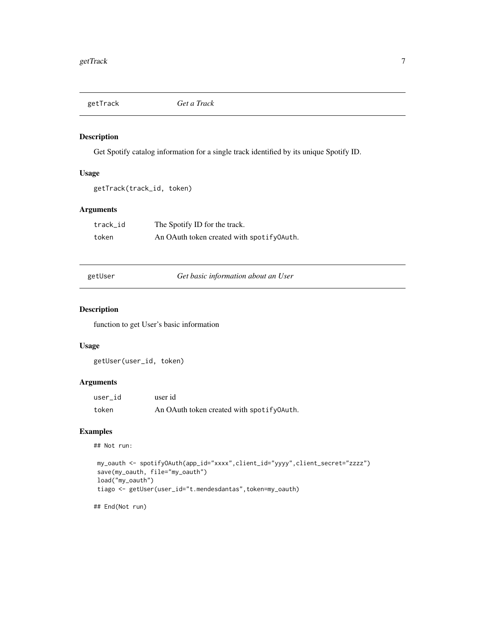<span id="page-6-0"></span>

Get Spotify catalog information for a single track identified by its unique Spotify ID.

#### Usage

```
getTrack(track_id, token)
```
#### Arguments

| track id | The Spotify ID for the track.             |
|----------|-------------------------------------------|
| token    | An OAuth token created with spotify0Auth. |

|  |  | getUser | Get basic information about an User |
|--|--|---------|-------------------------------------|
|--|--|---------|-------------------------------------|

#### Description

function to get User's basic information

#### Usage

getUser(user\_id, token)

#### Arguments

| user id | user id                                   |
|---------|-------------------------------------------|
| token   | An OAuth token created with spotify0Auth. |

#### Examples

## Not run:

```
my_oauth <- spotifyOAuth(app_id="xxxx",client_id="yyyy",client_secret="zzzz")
save(my_oauth, file="my_oauth")
load("my_oauth")
tiago <- getUser(user_id="t.mendesdantas",token=my_oauth)
```
## End(Not run)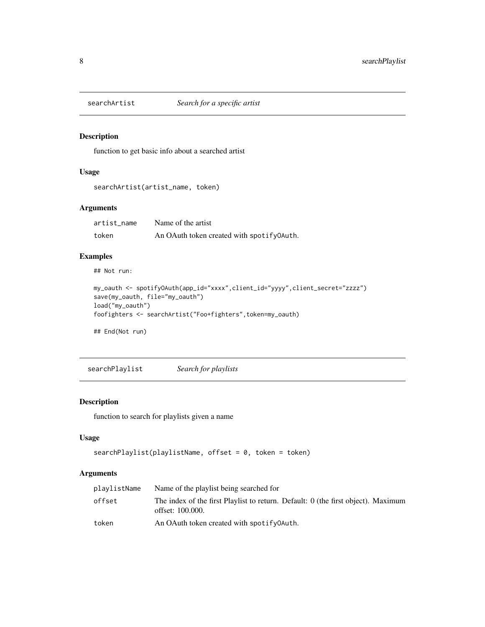<span id="page-7-0"></span>

function to get basic info about a searched artist

#### Usage

searchArtist(artist\_name, token)

#### Arguments

| artist name | Name of the artist                         |
|-------------|--------------------------------------------|
| token       | An OAuth token created with spotify OAuth. |

#### Examples

## Not run:

```
my_oauth <- spotifyOAuth(app_id="xxxx",client_id="yyyy",client_secret="zzzz")
save(my_oauth, file="my_oauth")
load("my_oauth")
foofighters <- searchArtist("Foo+fighters",token=my_oauth)
```
## End(Not run)

searchPlaylist *Search for playlists*

#### Description

function to search for playlists given a name

#### Usage

```
searchPlaylist(playlistName, offset = 0, token = token)
```

| plavlistName | Name of the playlist being searched for                                                               |
|--------------|-------------------------------------------------------------------------------------------------------|
| offset       | The index of the first Playlist to return. Default: 0 (the first object). Maximum<br>offset: 100.000. |
| token        | An OAuth token created with spotify0Auth.                                                             |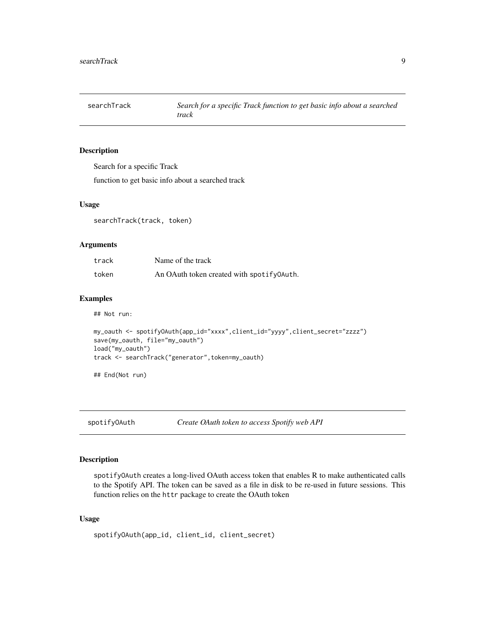<span id="page-8-0"></span>searchTrack *Search for a specific Track function to get basic info about a searched track*

#### Description

Search for a specific Track

function to get basic info about a searched track

#### Usage

searchTrack(track, token)

#### Arguments

| track | Name of the track                         |
|-------|-------------------------------------------|
| token | An OAuth token created with spotify0Auth. |

#### Examples

## Not run:

```
my_oauth <- spotifyOAuth(app_id="xxxx",client_id="yyyy",client_secret="zzzz")
save(my_oauth, file="my_oauth")
load("my_oauth")
track <- searchTrack("generator",token=my_oauth)
```
## End(Not run)

spotifyOAuth *Create OAuth token to access Spotify web API*

#### Description

spotifyOAuth creates a long-lived OAuth access token that enables R to make authenticated calls to the Spotify API. The token can be saved as a file in disk to be re-used in future sessions. This function relies on the httr package to create the OAuth token

#### Usage

```
spotifyOAuth(app_id, client_id, client_secret)
```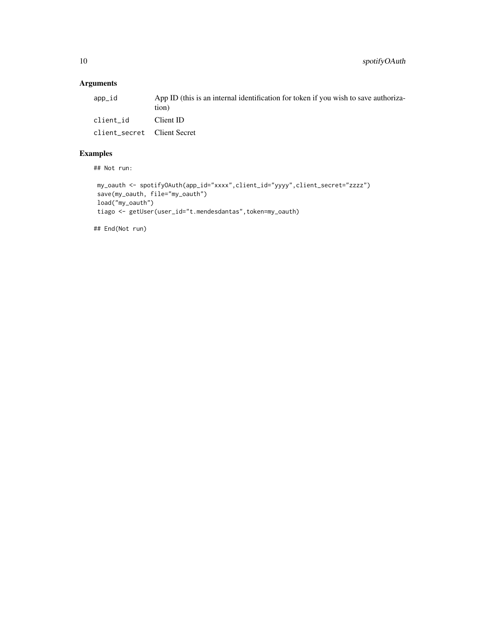#### Arguments

| app_id    | App ID (this is an internal identification for token if you wish to save authoriza-<br>tion) |
|-----------|----------------------------------------------------------------------------------------------|
| client id | Client ID                                                                                    |
|           |                                                                                              |

#### Examples

## Not run:

```
my_oauth <- spotifyOAuth(app_id="xxxx",client_id="yyyy",client_secret="zzzz")
save(my_oauth, file="my_oauth")
load("my_oauth")
tiago <- getUser(user_id="t.mendesdantas",token=my_oauth)
```
## End(Not run)